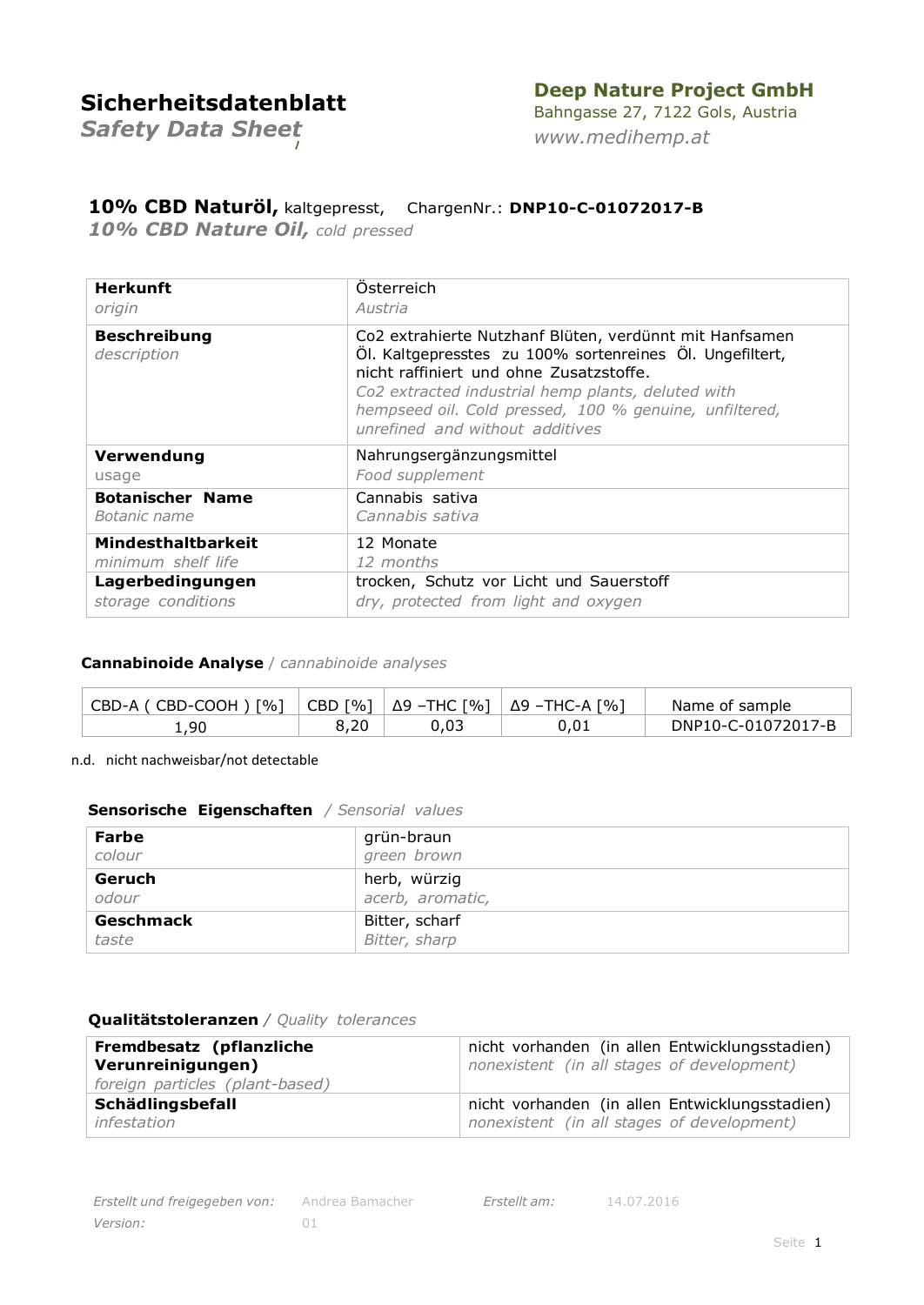## **Deep Nature Project GmbH**

*Safety Data Sheet*

Bahngasse 27, 7122 Gols, Austria *[www.medihemp.at](http://www.medihemp.at/)*

### **10% CBD Naturöl,** kaltgepresst, ChargenNr.: **DNP10-C-01072017-B**

*10% CBD Nature Oil, cold pressed*

| <b>Herkunft</b>                    | Osterreich                                                                                                                                                                                                                                                                                                        |
|------------------------------------|-------------------------------------------------------------------------------------------------------------------------------------------------------------------------------------------------------------------------------------------------------------------------------------------------------------------|
| origin                             | Austria                                                                                                                                                                                                                                                                                                           |
| <b>Beschreibung</b><br>description | Co2 extrahierte Nutzhanf Blüten, verdünnt mit Hanfsamen<br>Öl. Kaltgepresstes zu 100% sortenreines Öl. Ungefiltert,<br>nicht raffiniert und ohne Zusatzstoffe.<br>Co2 extracted industrial hemp plants, deluted with<br>hempseed oil. Cold pressed, 100 % genuine, unfiltered,<br>unrefined and without additives |
| Verwendung                         | Nahrungsergänzungsmittel                                                                                                                                                                                                                                                                                          |
| usage                              | Food supplement                                                                                                                                                                                                                                                                                                   |
| <b>Botanischer Name</b>            | Cannabis sativa                                                                                                                                                                                                                                                                                                   |
| Botanic name                       | Cannabis sativa                                                                                                                                                                                                                                                                                                   |
| <b>Mindesthaltbarkeit</b>          | 12 Monate                                                                                                                                                                                                                                                                                                         |
| minimum shelf life                 | 12 months                                                                                                                                                                                                                                                                                                         |
| Lagerbedingungen                   | trocken, Schutz vor Licht und Sauerstoff                                                                                                                                                                                                                                                                          |
| storage conditions                 | dry, protected from light and oxygen                                                                                                                                                                                                                                                                              |

#### **Cannabinoide Analyse** / *cannabinoide analyses*

| CBD-A ( CBD-COOH ) [%]   CBD [%]   $\Delta$ 9 -THC [%]   $\Delta$ 9 -THC-A [%] |      |      | Name of sample     |
|--------------------------------------------------------------------------------|------|------|--------------------|
| 1,90                                                                           | 8,20 | 0.03 | DNP10-C-01072017-B |

n.d. nicht nachweisbar/not detectable

#### **Sensorische Eigenschaften** */ Sensorial values*

| Farbe     | grün-braun       |
|-----------|------------------|
| colour    | green brown      |
| Geruch    | herb, würzig     |
| odour     | acerb, aromatic, |
| Geschmack | Bitter, scharf   |
| taste     | Bitter, sharp    |

#### **Qualitätstoleranzen** */ Quality tolerances*

| Fremdbesatz (pflanzliche<br>Verunreinigungen)<br>foreign particles (plant-based) | nicht vorhanden (in allen Entwicklungsstadien)<br>nonexistent (in all stages of development) |
|----------------------------------------------------------------------------------|----------------------------------------------------------------------------------------------|
| Schädlingsbefall                                                                 | nicht vorhanden (in allen Entwicklungsstadien)                                               |
| infestation                                                                      | nonexistent (in all stages of development)                                                   |

*Erstellt am:* 14.07.2016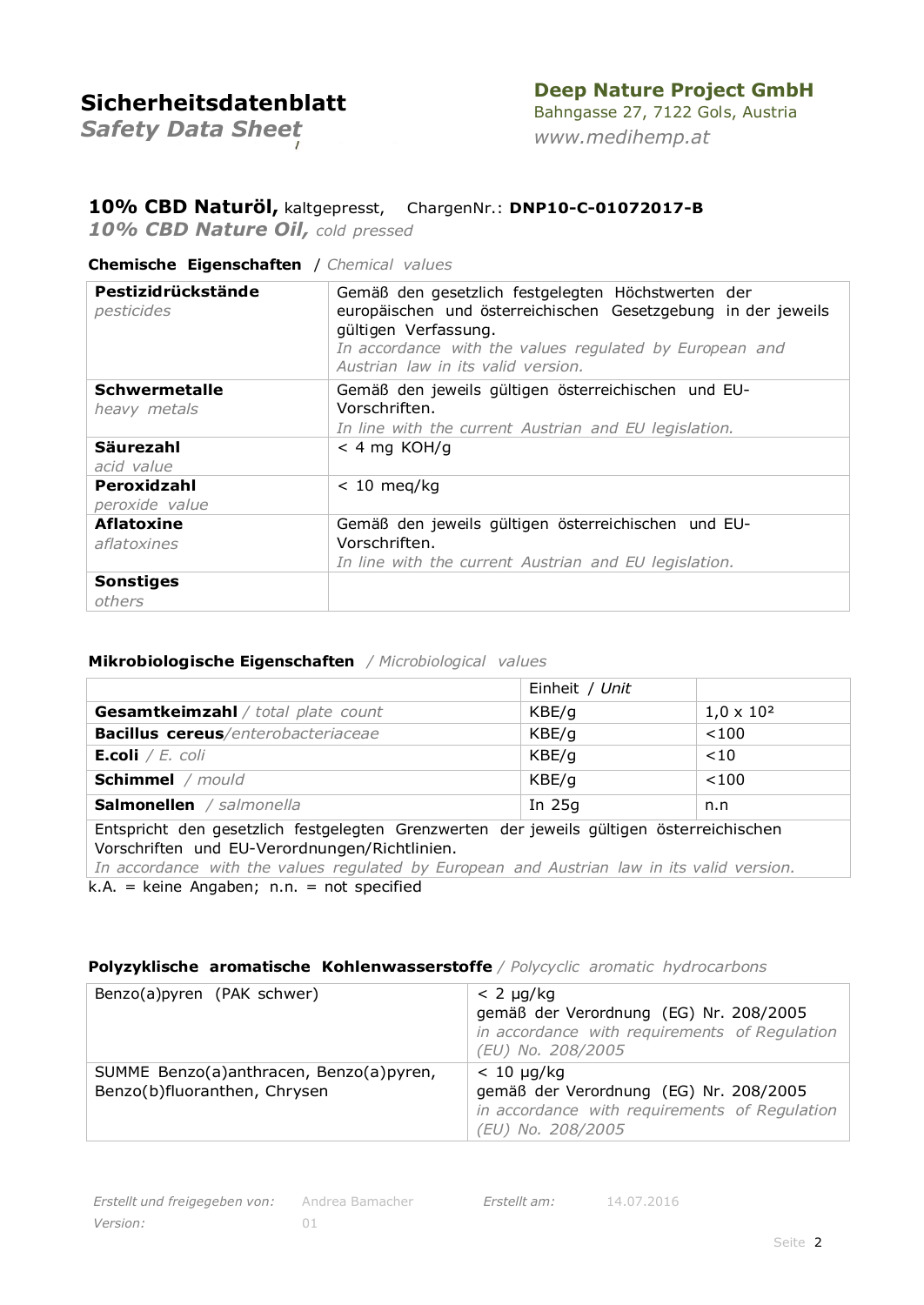### **Deep Nature Project GmbH**

*Safety Data Sheet*

Bahngasse 27, 7122 Gols, Austria *[www.medihemp.at](http://www.medihemp.at/)*

### **10% CBD Naturöl,** kaltgepresst, ChargenNr.: **DNP10-C-01072017-B**

*10% CBD Nature Oil, cold pressed*

#### **Chemische Eigenschaften** / *Chemical values*

| Pestizidrückstände<br>pesticides | Gemäß den gesetzlich festgelegten Höchstwerten der<br>europäischen und österreichischen Gesetzgebung in der jeweils<br>gültigen Verfassung.<br>In accordance with the values regulated by European and<br>Austrian law in its valid version. |  |  |
|----------------------------------|----------------------------------------------------------------------------------------------------------------------------------------------------------------------------------------------------------------------------------------------|--|--|
| <b>Schwermetalle</b>             | Gemäß den jeweils gültigen österreichischen und EU-                                                                                                                                                                                          |  |  |
| heavy metals                     | Vorschriften.<br>In line with the current Austrian and EU legislation.                                                                                                                                                                       |  |  |
| Säurezahl                        | $<$ 4 mg KOH/g                                                                                                                                                                                                                               |  |  |
| acid value                       |                                                                                                                                                                                                                                              |  |  |
| Peroxidzahl                      | $< 10$ meg/kg                                                                                                                                                                                                                                |  |  |
| peroxide value                   |                                                                                                                                                                                                                                              |  |  |
| <b>Aflatoxine</b>                | Gemäß den jeweils gültigen österreichischen und EU-                                                                                                                                                                                          |  |  |
| aflatoxines                      | Vorschriften.                                                                                                                                                                                                                                |  |  |
|                                  | In line with the current Austrian and EU legislation.                                                                                                                                                                                        |  |  |
| <b>Sonstiges</b>                 |                                                                                                                                                                                                                                              |  |  |
| others                           |                                                                                                                                                                                                                                              |  |  |

#### **Mikrobiologische Eigenschaften** */ Microbiological values*

|                                           | Einheit / Unit |                   |
|-------------------------------------------|----------------|-------------------|
| <b>Gesamtkeimzahl</b> / total plate count | KBE/g          | $1,0 \times 10^2$ |
| <b>Bacillus cereus/enterobacteriaceae</b> | KBE/q          | < 100             |
| E.coli / $E.$ coli                        | KBE/q          | < 10              |
| <b>Schimmel</b> / mould                   | KBE/g          | < 100             |
| <b>Salmonellen</b> / salmonella           | In $25g$       | n.n               |

Entspricht den gesetzlich festgelegten Grenzwerten der jeweils gültigen österreichischen Vorschriften und EU-Verordnungen/Richtlinien.

*In accordance with the values regulated by European and Austrian law in its valid version.*  $k.A. =$  keine Angaben; n.n. = not specified

#### **Polyzyklische aromatische Kohlenwasserstoffe** */ Polycyclic aromatic hydrocarbons*

| Benzo(a)pyren (PAK schwer)                                              | $< 2 \mu q/kg$<br>gemäß der Verordnung (EG) Nr. 208/2005<br>in accordance with requirements of Regulation<br>(EU) No. 208/2005  |
|-------------------------------------------------------------------------|---------------------------------------------------------------------------------------------------------------------------------|
| SUMME Benzo(a)anthracen, Benzo(a)pyren,<br>Benzo(b)fluoranthen, Chrysen | $< 10 \mu q/kg$<br>gemäß der Verordnung (EG) Nr. 208/2005<br>in accordance with requirements of Regulation<br>(EU) No. 208/2005 |

*Erstellt am:* 14.07.2016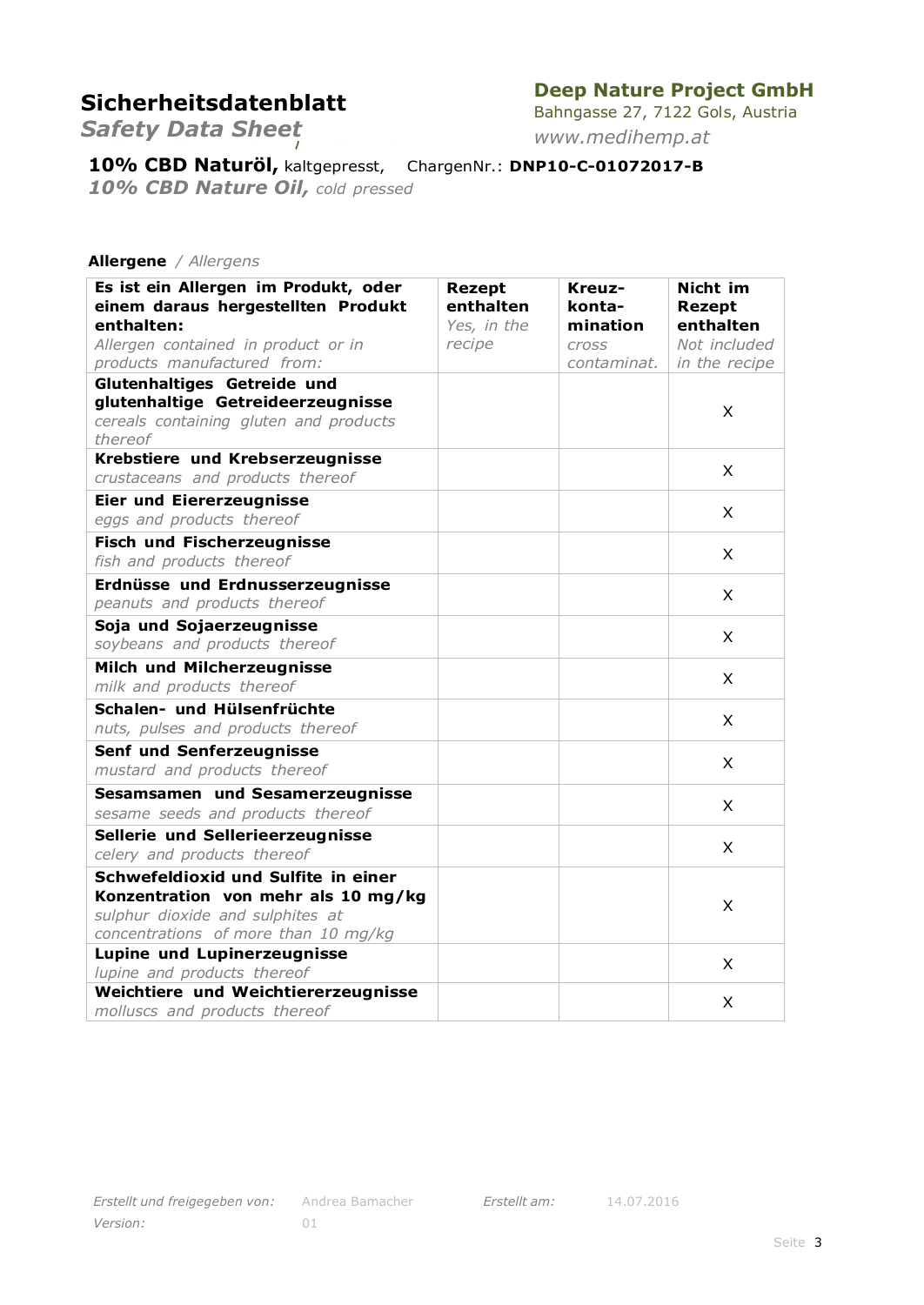## **Deep Nature Project GmbH**

*Safety Data Sheet*

Bahngasse 27, 7122 Gols, Austria *[www.medihemp.at](http://www.medihemp.at/)*

**10% CBD Naturöl,** kaltgepresst, ChargenNr.: **DNP10-C-01072017-B**

*10% CBD Nature Oil, cold pressed*

#### **Allergene** */ Allergens*

| Es ist ein Allergen im Produkt, oder<br>einem daraus hergestellten Produkt<br>enthalten:<br>Allergen contained in product or in<br>products manufactured from: | <b>Rezept</b><br>enthalten<br>Yes, in the<br>recipe | Kreuz-<br>konta-<br>mination<br><b>Cross</b><br>contaminat. | Nicht im<br><b>Rezept</b><br>enthalten<br>Not included<br>in the recipe |
|----------------------------------------------------------------------------------------------------------------------------------------------------------------|-----------------------------------------------------|-------------------------------------------------------------|-------------------------------------------------------------------------|
| Glutenhaltiges Getreide und<br>glutenhaltige Getreideerzeugnisse<br>cereals containing gluten and products<br>thereof                                          |                                                     |                                                             | X                                                                       |
| Krebstiere und Krebserzeugnisse<br>crustaceans and products thereof                                                                                            |                                                     |                                                             | X                                                                       |
| <b>Eier und Eiererzeugnisse</b><br>eggs and products thereof                                                                                                   |                                                     |                                                             | X                                                                       |
| <b>Fisch und Fischerzeugnisse</b><br>fish and products thereof                                                                                                 |                                                     |                                                             | X                                                                       |
| Erdnüsse und Erdnusserzeugnisse<br>peanuts and products thereof                                                                                                |                                                     |                                                             | $\mathsf{X}$                                                            |
| Soja und Sojaerzeugnisse<br>soybeans and products thereof                                                                                                      |                                                     |                                                             | X                                                                       |
| Milch und Milcherzeugnisse<br>milk and products thereof                                                                                                        |                                                     |                                                             | X                                                                       |
| Schalen- und Hülsenfrüchte<br>nuts, pulses and products thereof                                                                                                |                                                     |                                                             | X                                                                       |
| Senf und Senferzeugnisse<br>mustard and products thereof                                                                                                       |                                                     |                                                             | X                                                                       |
| Sesamsamen und Sesamerzeugnisse<br>sesame seeds and products thereof                                                                                           |                                                     |                                                             | X                                                                       |
| Sellerie und Sellerieerzeugnisse<br>celery and products thereof                                                                                                |                                                     |                                                             | $\times$                                                                |
| Schwefeldioxid und Sulfite in einer<br>Konzentration von mehr als 10 mg/kg<br>sulphur dioxide and sulphites at<br>concentrations of more than 10 mg/kg         |                                                     |                                                             | X                                                                       |
| <b>Lupine und Lupinerzeugnisse</b><br>lupine and products thereof                                                                                              |                                                     |                                                             | X                                                                       |
| Weichtiere und Weichtiererzeugnisse<br>molluscs and products thereof                                                                                           |                                                     |                                                             | X                                                                       |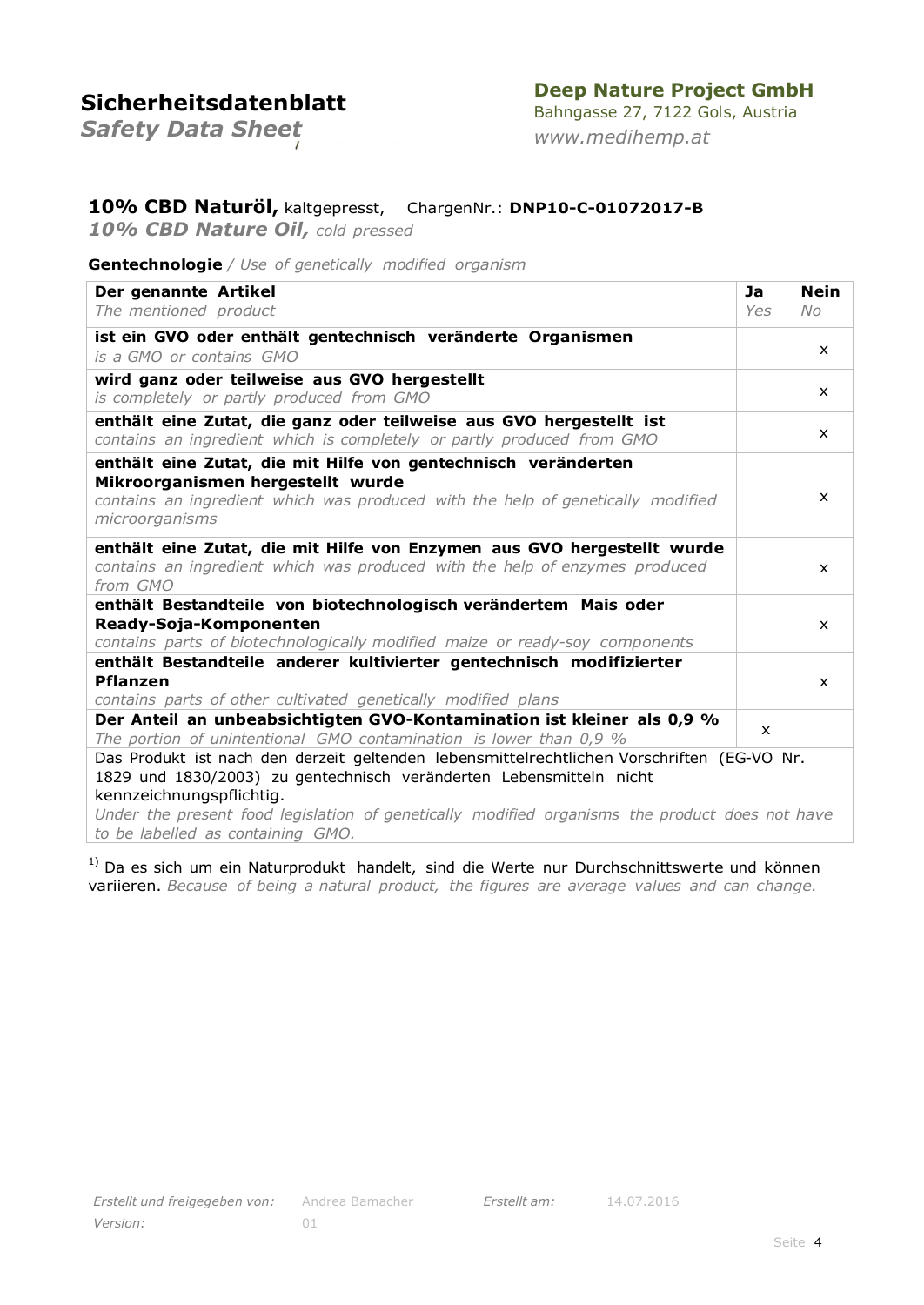## **Deep Nature Project GmbH**

*Safety Data Sheet*

Bahngasse 27, 7122 Gols, Austria *[www.medihemp.at](http://www.medihemp.at/)*

### **10% CBD Naturöl,** kaltgepresst, ChargenNr.: **DNP10-C-01072017-B**

*10% CBD Nature Oil, cold pressed*

#### **Gentechnologie** */ Use of genetically modified organism*

| Der genannte Artikel<br>The mentioned product                                                                                                                                                                                                                                                                                        | Ja<br>Yes    | <b>Nein</b><br>No. |
|--------------------------------------------------------------------------------------------------------------------------------------------------------------------------------------------------------------------------------------------------------------------------------------------------------------------------------------|--------------|--------------------|
| ist ein GVO oder enthält gentechnisch veränderte Organismen<br>is a GMO or contains GMO                                                                                                                                                                                                                                              |              | $\mathsf{x}$       |
| wird ganz oder teilweise aus GVO hergestellt<br>is completely or partly produced from GMO                                                                                                                                                                                                                                            |              | $\mathsf{x}$       |
| enthält eine Zutat, die ganz oder teilweise aus GVO hergestellt ist<br>contains an ingredient which is completely or partly produced from GMO                                                                                                                                                                                        |              | $\mathsf{x}$       |
| enthält eine Zutat, die mit Hilfe von gentechnisch veränderten<br>Mikroorganismen hergestellt wurde<br>contains an ingredient which was produced with the help of genetically modified<br>microorganisms                                                                                                                             |              | $\mathsf{x}$       |
| enthält eine Zutat, die mit Hilfe von Enzymen aus GVO hergestellt wurde<br>contains an ingredient which was produced with the help of enzymes produced<br>from GMO                                                                                                                                                                   |              | X.                 |
| enthält Bestandteile von biotechnologisch verändertem Mais oder<br>Ready-Soja-Komponenten<br>contains parts of biotechnologically modified maize or ready-soy components                                                                                                                                                             |              | $\mathsf{x}$       |
| enthält Bestandteile anderer kultivierter gentechnisch modifizierter<br><b>Pflanzen</b><br>contains parts of other cultivated genetically modified plans                                                                                                                                                                             |              | $\mathsf{x}$       |
| Der Anteil an unbeabsichtigten GVO-Kontamination ist kleiner als 0,9 %<br>The portion of unintentional GMO contamination is lower than 0,9 %                                                                                                                                                                                         | $\mathsf{x}$ |                    |
| Das Produkt ist nach den derzeit geltenden lebensmittelrechtlichen Vorschriften (EG-VO Nr.<br>1829 und 1830/2003) zu gentechnisch veränderten Lebensmitteln nicht<br>kennzeichnungspflichtig.<br>Under the present food legislation of genetically modified organisms the product does not have<br>to be labelled as containing GMO. |              |                    |

<sup>1)</sup> Da es sich um ein Naturprodukt handelt, sind die Werte nur Durchschnittswerte und können variieren. *Because of being a natural product, the figures are average values and can change.*